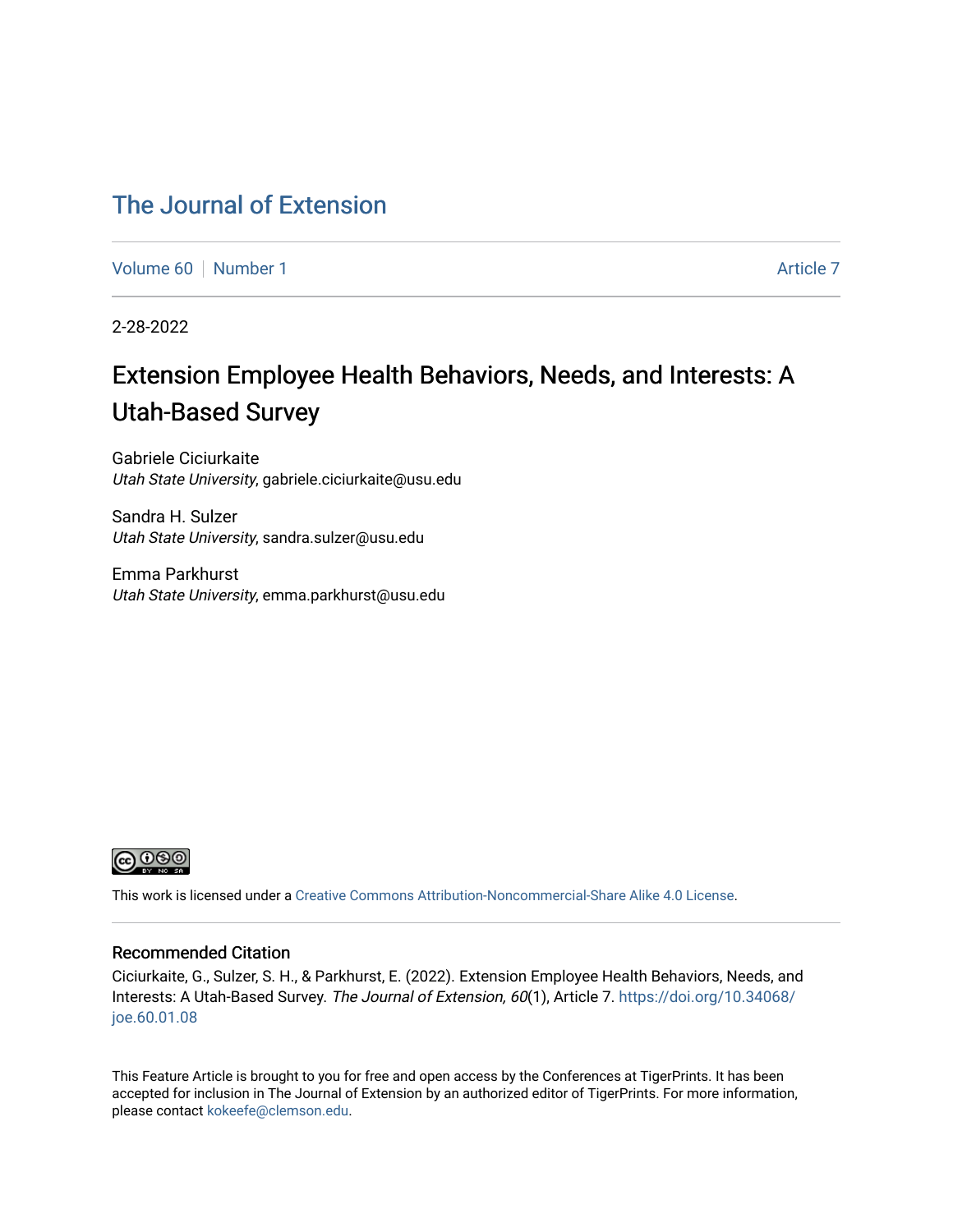# [The Journal of Extension](https://tigerprints.clemson.edu/joe)

[Volume 60](https://tigerprints.clemson.edu/joe/vol60) [Number 1](https://tigerprints.clemson.edu/joe/vol60/iss1) [Article 7](https://tigerprints.clemson.edu/joe/vol60/iss1/7) Article 7 Article 7 Article 7 Article 7 Article 7 Article 7

2-28-2022

# Extension Employee Health Behaviors, Needs, and Interests: A Utah-Based Survey

Gabriele Ciciurkaite Utah State University, gabriele.ciciurkaite@usu.edu

Sandra H. Sulzer Utah State University, sandra.sulzer@usu.edu

Emma Parkhurst Utah State University, emma.parkhurst@usu.edu



This work is licensed under a [Creative Commons Attribution-Noncommercial-Share Alike 4.0 License.](https://creativecommons.org/licenses/by-nc-sa/4.0/)

## Recommended Citation

Ciciurkaite, G., Sulzer, S. H., & Parkhurst, E. (2022). Extension Employee Health Behaviors, Needs, and Interests: A Utah-Based Survey. The Journal of Extension, 60(1), Article 7. [https://doi.org/10.34068/](https://doi.org/10.34068/joe.60.01.08) [joe.60.01.08](https://doi.org/10.34068/joe.60.01.08) 

This Feature Article is brought to you for free and open access by the Conferences at TigerPrints. It has been accepted for inclusion in The Journal of Extension by an authorized editor of TigerPrints. For more information, please contact [kokeefe@clemson.edu](mailto:kokeefe@clemson.edu).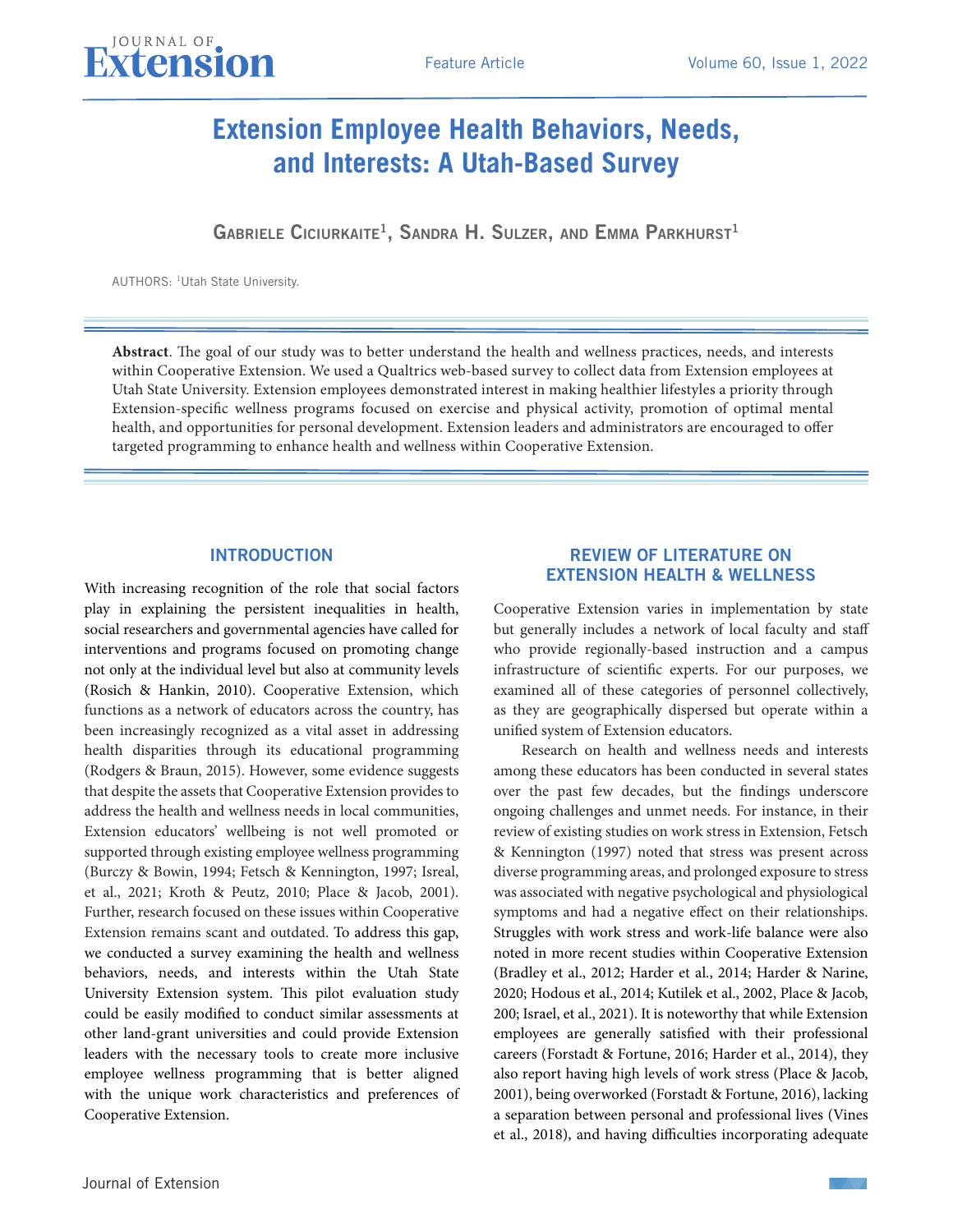# **Extension Employee Health Behaviors, Needs, and Interests: A Utah-Based Survey**

GABRIELE CICIURKAITE<sup>1</sup>, SANDRA H. SULZER, AND EMMA PARKHURST<sup>1</sup>

AUTHORS: 1Utah State University.

**Abstract**. The goal of our study was to better understand the health and wellness practices, needs, and interests within Cooperative Extension. We used a Qualtrics web-based survey to collect data from Extension employees at Utah State University. Extension employees demonstrated interest in making healthier lifestyles a priority through Extension-specific wellness programs focused on exercise and physical activity, promotion of optimal mental health, and opportunities for personal development. Extension leaders and administrators are encouraged to offer targeted programming to enhance health and wellness within Cooperative Extension.

# INTRODUCTION

With increasing recognition of the role that social factors play in explaining the persistent inequalities in health, social researchers and governmental agencies have called for interventions and programs focused on promoting change not only at the individual level but also at community levels (Rosich & Hankin, 2010). Cooperative Extension, which functions as a network of educators across the country, has been increasingly recognized as a vital asset in addressing health disparities through its educational programming (Rodgers & Braun, 2015). However, some evidence suggests that despite the assets that Cooperative Extension provides to address the health and wellness needs in local communities, Extension educators' wellbeing is not well promoted or supported through existing employee wellness programming (Burczy & Bowin, 1994; Fetsch & Kennington, 1997; Isreal, et al., 2021; Kroth & Peutz, 2010; Place & Jacob, 2001). Further, research focused on these issues within Cooperative Extension remains scant and outdated. To address this gap, we conducted a survey examining the health and wellness behaviors, needs, and interests within the Utah State University Extension system. This pilot evaluation study could be easily modified to conduct similar assessments at other land-grant universities and could provide Extension leaders with the necessary tools to create more inclusive employee wellness programming that is better aligned with the unique work characteristics and preferences of Cooperative Extension.

# REVIEW OF LITERATURE ON EXTENSION HEALTH & WELLNESS

Cooperative Extension varies in implementation by state but generally includes a network of local faculty and staff who provide regionally-based instruction and a campus infrastructure of scientific experts. For our purposes, we examined all of these categories of personnel collectively, as they are geographically dispersed but operate within a unified system of Extension educators.

Research on health and wellness needs and interests among these educators has been conducted in several states over the past few decades, but the findings underscore ongoing challenges and unmet needs. For instance, in their review of existing studies on work stress in Extension, Fetsch & Kennington (1997) noted that stress was present across diverse programming areas, and prolonged exposure to stress was associated with negative psychological and physiological symptoms and had a negative effect on their relationships. Struggles with work stress and work-life balance were also noted in more recent studies within Cooperative Extension (Bradley et al., 2012; Harder et al., 2014; Harder & Narine, 2020; Hodous et al., 2014; Kutilek et al., 2002, Place & Jacob, 200; Israel, et al., 2021). It is noteworthy that while Extension employees are generally satisfied with their professional careers (Forstadt & Fortune, 2016; Harder et al., 2014), they also report having high levels of work stress (Place & Jacob, 2001), being overworked (Forstadt & Fortune, 2016), lacking a separation between personal and professional lives (Vines et al., 2018), and having difficulties incorporating adequate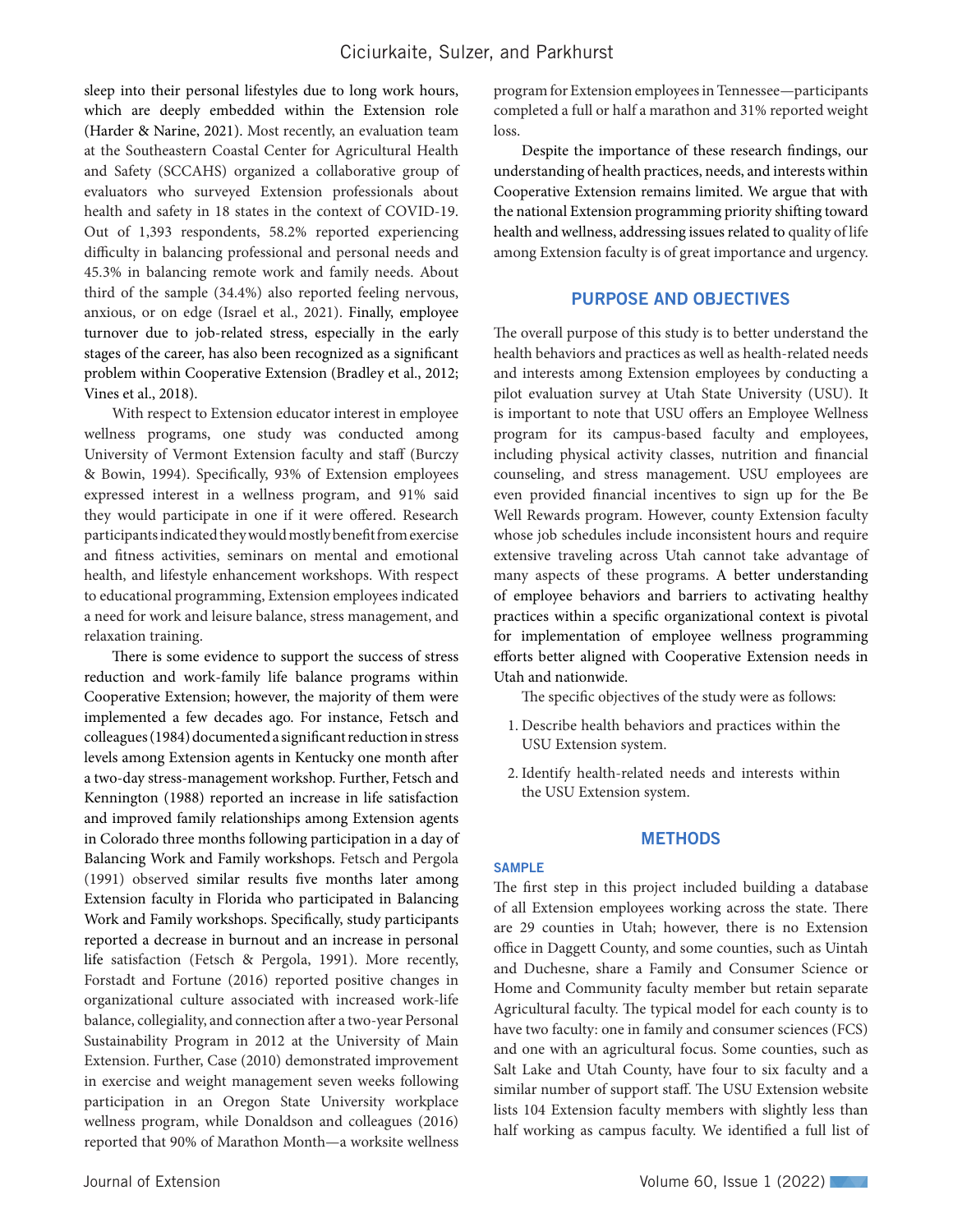sleep into their personal lifestyles due to long work hours, which are deeply embedded within the Extension role (Harder & Narine, 2021). Most recently, an evaluation team at the Southeastern Coastal Center for Agricultural Health and Safety (SCCAHS) organized a collaborative group of evaluators who surveyed Extension professionals about health and safety in 18 states in the context of COVID-19. Out of 1,393 respondents, 58.2% reported experiencing difficulty in balancing professional and personal needs and 45.3% in balancing remote work and family needs. About third of the sample (34.4%) also reported feeling nervous, anxious, or on edge (Israel et al., 2021). Finally, employee turnover due to job-related stress, especially in the early stages of the career, has also been recognized as a significant problem within Cooperative Extension (Bradley et al., 2012; Vines et al., 2018).

With respect to Extension educator interest in employee wellness programs, one study was conducted among University of Vermont Extension faculty and staff (Burczy & Bowin, 1994). Specifically, 93% of Extension employees expressed interest in a wellness program, and 91% said they would participate in one if it were offered. Research participants indicated they would mostly benefit from exercise and fitness activities, seminars on mental and emotional health, and lifestyle enhancement workshops. With respect to educational programming, Extension employees indicated a need for work and leisure balance, stress management, and relaxation training.

There is some evidence to support the success of stress reduction and work-family life balance programs within Cooperative Extension; however, the majority of them were implemented a few decades ago. For instance, Fetsch and colleagues (1984) documented a significant reduction in stress levels among Extension agents in Kentucky one month after a two-day stress-management workshop. Further, Fetsch and Kennington (1988) reported an increase in life satisfaction and improved family relationships among Extension agents in Colorado three months following participation in a day of Balancing Work and Family workshops. Fetsch and Pergola (1991) observed similar results five months later among Extension faculty in Florida who participated in Balancing Work and Family workshops. Specifically, study participants reported a decrease in burnout and an increase in personal life satisfaction (Fetsch & Pergola, 1991). More recently, Forstadt and Fortune (2016) reported positive changes in organizational culture associated with increased work-life balance, collegiality, and connection after a two-year Personal Sustainability Program in 2012 at the University of Main Extension. Further, Case (2010) demonstrated improvement in exercise and weight management seven weeks following participation in an Oregon State University workplace wellness program, while Donaldson and colleagues (2016) reported that 90% of Marathon Month—a worksite wellness

program for Extension employees in Tennessee—participants completed a full or half a marathon and 31% reported weight loss.

Despite the importance of these research findings, our understanding of health practices, needs, and interests within Cooperative Extension remains limited. We argue that with the national Extension programming priority shifting toward health and wellness, addressing issues related to quality of life among Extension faculty is of great importance and urgency.

## PURPOSE AND OBJECTIVES

The overall purpose of this study is to better understand the health behaviors and practices as well as health-related needs and interests among Extension employees by conducting a pilot evaluation survey at Utah State University (USU). It is important to note that USU offers an Employee Wellness program for its campus-based faculty and employees, including physical activity classes, nutrition and financial counseling, and stress management. USU employees are even provided financial incentives to sign up for the Be Well Rewards program. However, county Extension faculty whose job schedules include inconsistent hours and require extensive traveling across Utah cannot take advantage of many aspects of these programs. A better understanding of employee behaviors and barriers to activating healthy practices within a specific organizational context is pivotal for implementation of employee wellness programming efforts better aligned with Cooperative Extension needs in Utah and nationwide.

The specific objectives of the study were as follows:

- 1. Describe health behaviors and practices within the USU Extension system.
- 2. Identify health-related needs and interests within the USU Extension system.

## **METHODS**

#### SAMPLE

The first step in this project included building a database of all Extension employees working across the state. There are 29 counties in Utah; however, there is no Extension office in Daggett County, and some counties, such as Uintah and Duchesne, share a Family and Consumer Science or Home and Community faculty member but retain separate Agricultural faculty. The typical model for each county is to have two faculty: one in family and consumer sciences (FCS) and one with an agricultural focus. Some counties, such as Salt Lake and Utah County, have four to six faculty and a similar number of support staff. The USU Extension website lists 104 Extension faculty members with slightly less than half working as campus faculty. We identified a full list of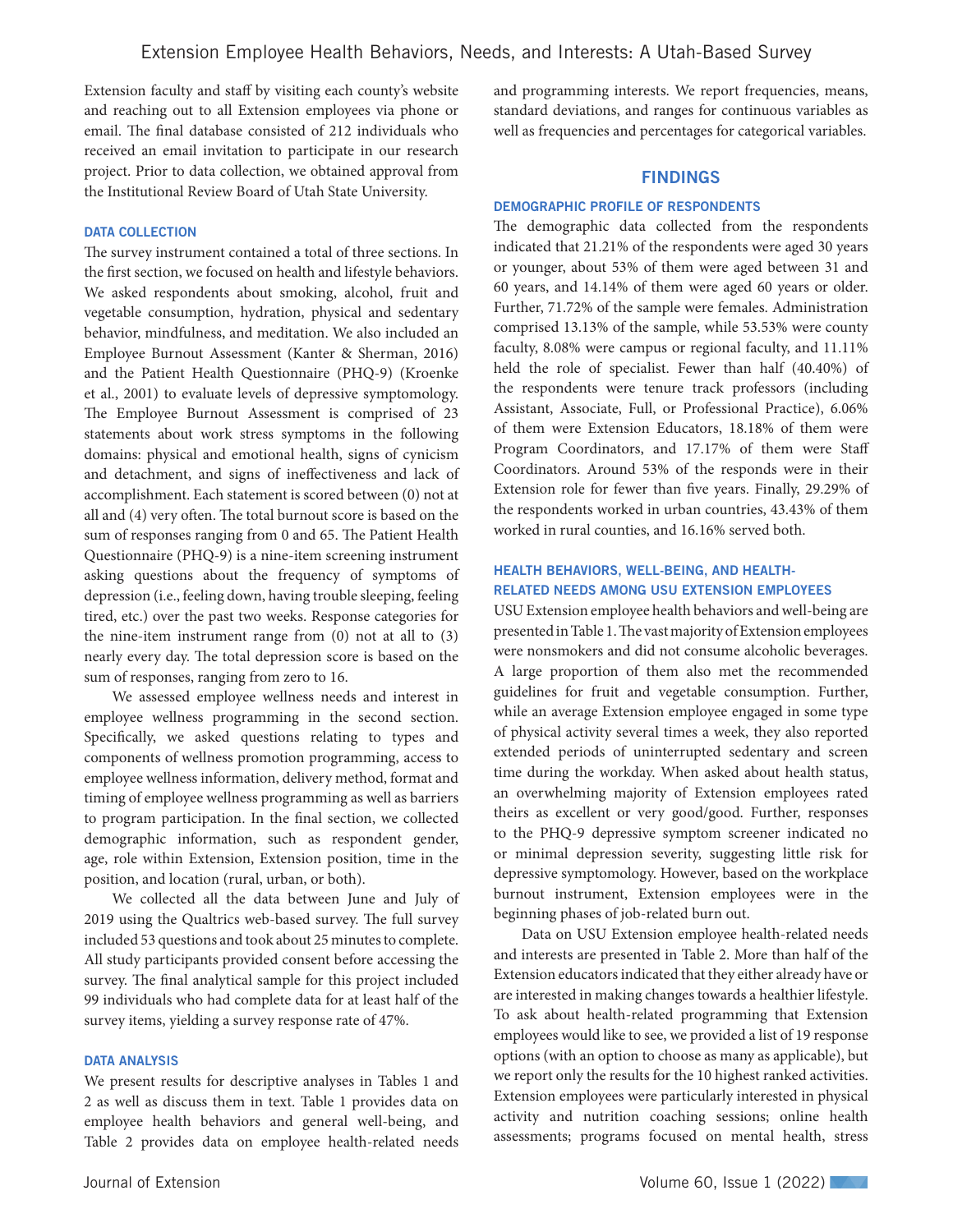Extension faculty and staff by visiting each county's website and reaching out to all Extension employees via phone or email. The final database consisted of 212 individuals who received an email invitation to participate in our research project. Prior to data collection, we obtained approval from the Institutional Review Board of Utah State University.

# DATA COLLECTION

The survey instrument contained a total of three sections. In the first section, we focused on health and lifestyle behaviors. We asked respondents about smoking, alcohol, fruit and vegetable consumption, hydration, physical and sedentary behavior, mindfulness, and meditation. We also included an Employee Burnout Assessment (Kanter & Sherman, 2016) and the Patient Health Questionnaire (PHQ-9) (Kroenke et al., 2001) to evaluate levels of depressive symptomology. The Employee Burnout Assessment is comprised of 23 statements about work stress symptoms in the following domains: physical and emotional health, signs of cynicism and detachment, and signs of ineffectiveness and lack of accomplishment. Each statement is scored between (0) not at all and (4) very often. The total burnout score is based on the sum of responses ranging from 0 and 65. The Patient Health Questionnaire (PHQ-9) is a nine-item screening instrument asking questions about the frequency of symptoms of depression (i.e., feeling down, having trouble sleeping, feeling tired, etc.) over the past two weeks. Response categories for the nine-item instrument range from (0) not at all to (3) nearly every day. The total depression score is based on the sum of responses, ranging from zero to 16.

We assessed employee wellness needs and interest in employee wellness programming in the second section. Specifically, we asked questions relating to types and components of wellness promotion programming, access to employee wellness information, delivery method, format and timing of employee wellness programming as well as barriers to program participation. In the final section, we collected demographic information, such as respondent gender, age, role within Extension, Extension position, time in the position, and location (rural, urban, or both).

We collected all the data between June and July of 2019 using the Qualtrics web-based survey. The full survey included 53 questions and took about 25 minutes to complete. All study participants provided consent before accessing the survey. The final analytical sample for this project included 99 individuals who had complete data for at least half of the survey items, yielding a survey response rate of 47%.

#### DATA ANALYSIS

We present results for descriptive analyses in Tables 1 and 2 as well as discuss them in text. Table 1 provides data on employee health behaviors and general well-being, and Table 2 provides data on employee health-related needs

and programming interests. We report frequencies, means, standard deviations, and ranges for continuous variables as well as frequencies and percentages for categorical variables.

# FINDINGS

## DEMOGRAPHIC PROFILE OF RESPONDENTS

The demographic data collected from the respondents indicated that 21.21% of the respondents were aged 30 years or younger, about 53% of them were aged between 31 and 60 years, and 14.14% of them were aged 60 years or older. Further, 71.72% of the sample were females. Administration comprised 13.13% of the sample, while 53.53% were county faculty, 8.08% were campus or regional faculty, and 11.11% held the role of specialist. Fewer than half (40.40%) of the respondents were tenure track professors (including Assistant, Associate, Full, or Professional Practice), 6.06% of them were Extension Educators, 18.18% of them were Program Coordinators, and 17.17% of them were Staff Coordinators. Around 53% of the responds were in their Extension role for fewer than five years. Finally, 29.29% of the respondents worked in urban countries, 43.43% of them worked in rural counties, and 16.16% served both.

## HEALTH BEHAVIORS, WELL-BEING, AND HEALTH-RELATED NEEDS AMONG USU EXTENSION EMPLOYEES

USU Extension employee health behaviors and well-being are presented in Table 1. The vast majority of Extension employees were nonsmokers and did not consume alcoholic beverages. A large proportion of them also met the recommended guidelines for fruit and vegetable consumption. Further, while an average Extension employee engaged in some type of physical activity several times a week, they also reported extended periods of uninterrupted sedentary and screen time during the workday. When asked about health status, an overwhelming majority of Extension employees rated theirs as excellent or very good/good. Further, responses to the PHQ-9 depressive symptom screener indicated no or minimal depression severity, suggesting little risk for depressive symptomology. However, based on the workplace burnout instrument, Extension employees were in the beginning phases of job-related burn out.

Data on USU Extension employee health-related needs and interests are presented in Table 2. More than half of the Extension educators indicated that they either already have or are interested in making changes towards a healthier lifestyle. To ask about health-related programming that Extension employees would like to see, we provided a list of 19 response options (with an option to choose as many as applicable), but we report only the results for the 10 highest ranked activities. Extension employees were particularly interested in physical activity and nutrition coaching sessions; online health assessments; programs focused on mental health, stress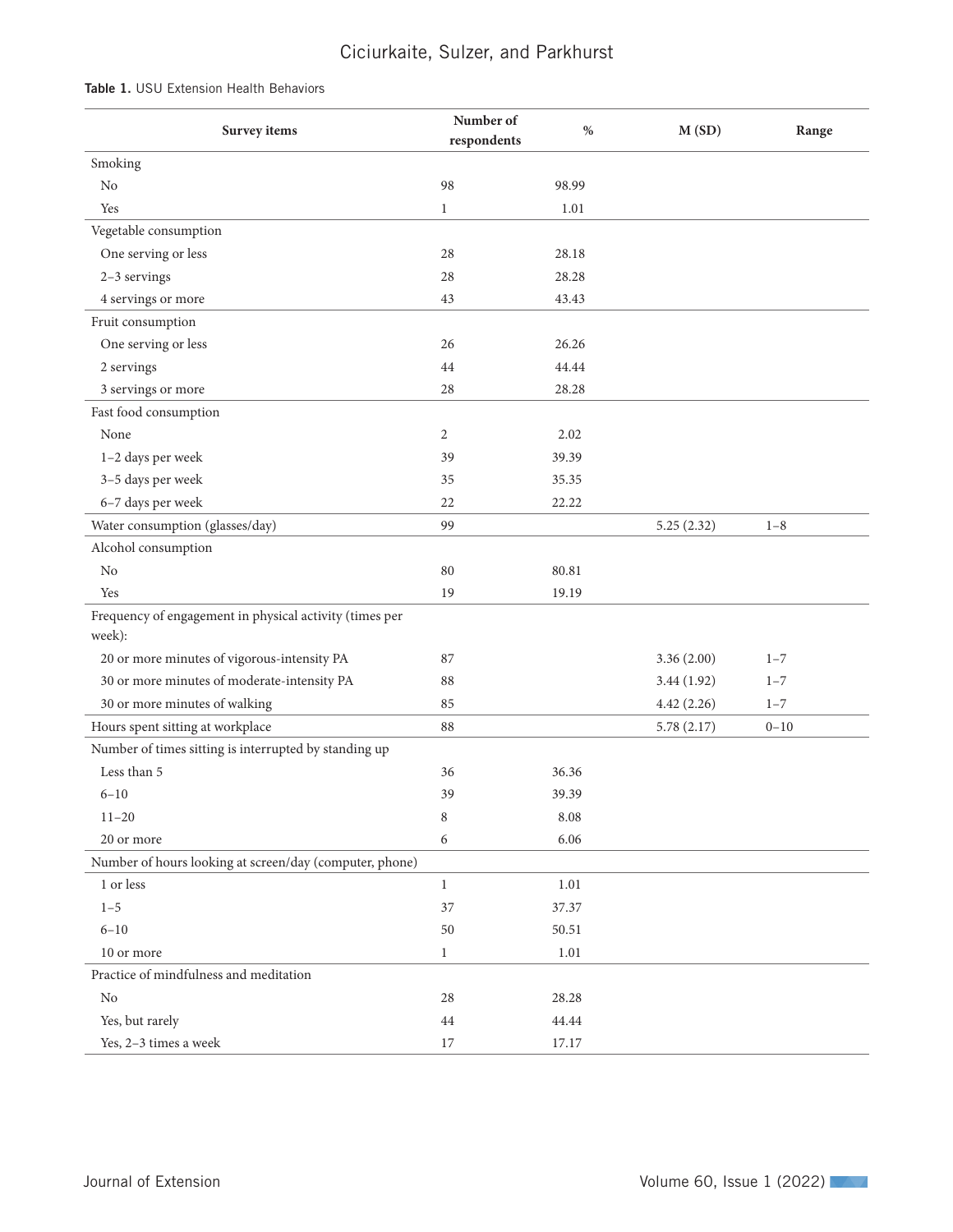# Ciciurkaite, Sulzer, and Parkhurst

| <b>Table 1.</b> USU Extension Health Behaviors |
|------------------------------------------------|
|------------------------------------------------|

| $\%$<br>M(SD)<br>Survey items                                              | Range |
|----------------------------------------------------------------------------|-------|
| respondents                                                                |       |
| Smoking                                                                    |       |
| $\rm No$<br>98.99<br>98                                                    |       |
| Yes<br>$\mathbf{1}$<br>1.01                                                |       |
| Vegetable consumption                                                      |       |
| One serving or less<br>28<br>28.18                                         |       |
| 2-3 servings<br>28<br>28.28                                                |       |
| 4 servings or more<br>43<br>43.43                                          |       |
| Fruit consumption                                                          |       |
| One serving or less<br>26<br>26.26                                         |       |
| 44.44<br>2 servings<br>44                                                  |       |
| 3 servings or more<br>28<br>28.28                                          |       |
| Fast food consumption                                                      |       |
| None<br>$\overline{c}$<br>2.02                                             |       |
| 1-2 days per week<br>39<br>39.39                                           |       |
| 3-5 days per week<br>35.35<br>35                                           |       |
| 6-7 days per week<br>22<br>22.22                                           |       |
| Water consumption (glasses/day)<br>99<br>5.25(2.32)<br>$1 - 8$             |       |
| Alcohol consumption                                                        |       |
| $\rm No$<br>80.81<br>80                                                    |       |
| Yes<br>19.19<br>19                                                         |       |
| Frequency of engagement in physical activity (times per                    |       |
| week):                                                                     |       |
| 20 or more minutes of vigorous-intensity PA<br>3.36(2.00)<br>87<br>$1 - 7$ |       |
| 30 or more minutes of moderate-intensity PA<br>88<br>3.44(1.92)<br>$1 - 7$ |       |
| 30 or more minutes of walking<br>85<br>4.42(2.26)<br>$1 - 7$               |       |
| Hours spent sitting at workplace<br>88<br>5.78(2.17)<br>$0 - 10$           |       |
| Number of times sitting is interrupted by standing up                      |       |
| Less than 5<br>36.36<br>36                                                 |       |
| 39<br>39.39<br>$6 - 10$                                                    |       |
| $11 - 20$<br>8.08<br>8                                                     |       |
| 20 or more<br>6.06<br>6                                                    |       |
| Number of hours looking at screen/day (computer, phone)                    |       |
| $1$ or less $\,$<br>$\mathbf{1}$<br>1.01                                   |       |
| $1 - 5$<br>37<br>37.37                                                     |       |
| $6 - 10$<br>50.51<br>50                                                    |       |
| $1.01\,$<br>10 or more<br>$\mathbf{1}$                                     |       |
| Practice of mindfulness and meditation                                     |       |
| $\rm No$<br>28<br>28.28                                                    |       |
| Yes, but rarely<br>44<br>44.44                                             |       |
| Yes, 2-3 times a week<br>$17\,$<br>17.17                                   |       |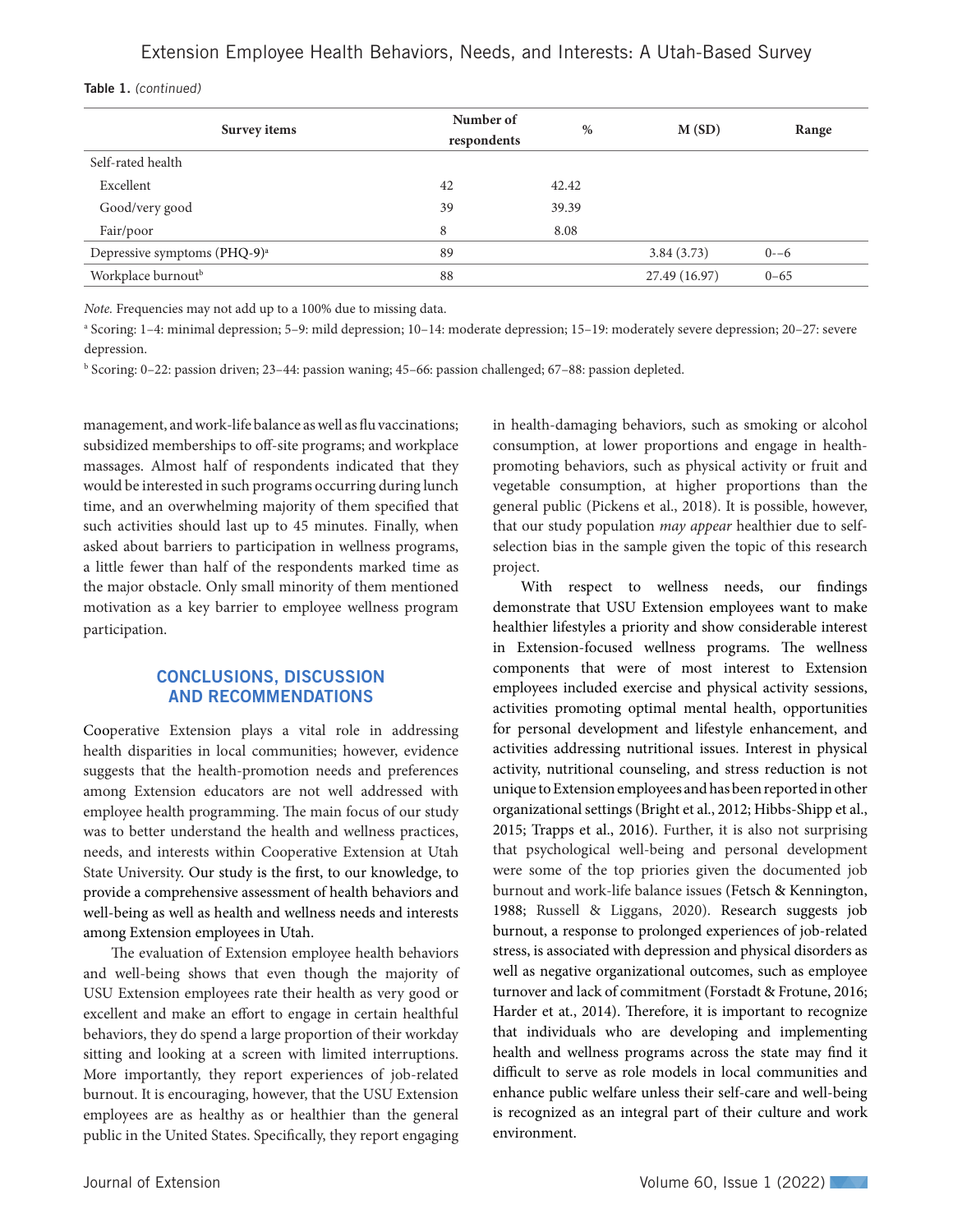|  | Table 1. (continued) |
|--|----------------------|
|--|----------------------|

| Survey items                             | Number of<br>respondents | $\%$  | M(SD)         | Range    |
|------------------------------------------|--------------------------|-------|---------------|----------|
| Self-rated health                        |                          |       |               |          |
| Excellent                                | 42                       | 42.42 |               |          |
| Good/very good                           | 39                       | 39.39 |               |          |
| Fair/poor                                | 8                        | 8.08  |               |          |
| Depressive symptoms (PHQ-9) <sup>a</sup> | 89                       |       | 3.84(3.73)    | $0 - 6$  |
| Workplace burnout <sup>b</sup>           | 88                       |       | 27.49 (16.97) | $0 - 65$ |

*Note.* Frequencies may not add up to a 100% due to missing data.

a Scoring: 1–4: minimal depression; 5–9: mild depression; 10–14: moderate depression; 15–19: moderately severe depression; 20–27: severe depression.

b Scoring: 0–22: passion driven; 23–44: passion waning; 45–66: passion challenged; 67–88: passion depleted.

management, and work-life balance as well as flu vaccinations; subsidized memberships to off-site programs; and workplace massages. Almost half of respondents indicated that they would be interested in such programs occurring during lunch time, and an overwhelming majority of them specified that such activities should last up to 45 minutes. Finally, when asked about barriers to participation in wellness programs, a little fewer than half of the respondents marked time as the major obstacle. Only small minority of them mentioned motivation as a key barrier to employee wellness program participation.

# CONCLUSIONS, DISCUSSION AND RECOMMENDATIONS

Cooperative Extension plays a vital role in addressing health disparities in local communities; however, evidence suggests that the health-promotion needs and preferences among Extension educators are not well addressed with employee health programming. The main focus of our study was to better understand the health and wellness practices, needs, and interests within Cooperative Extension at Utah State University. Our study is the first, to our knowledge, to provide a comprehensive assessment of health behaviors and well-being as well as health and wellness needs and interests among Extension employees in Utah.

The evaluation of Extension employee health behaviors and well-being shows that even though the majority of USU Extension employees rate their health as very good or excellent and make an effort to engage in certain healthful behaviors, they do spend a large proportion of their workday sitting and looking at a screen with limited interruptions. More importantly, they report experiences of job-related burnout. It is encouraging, however, that the USU Extension employees are as healthy as or healthier than the general public in the United States. Specifically, they report engaging in health-damaging behaviors, such as smoking or alcohol consumption, at lower proportions and engage in healthpromoting behaviors, such as physical activity or fruit and vegetable consumption, at higher proportions than the general public (Pickens et al., 2018). It is possible, however, that our study population *may appear* healthier due to selfselection bias in the sample given the topic of this research project.

With respect to wellness needs, our findings demonstrate that USU Extension employees want to make healthier lifestyles a priority and show considerable interest in Extension-focused wellness programs. The wellness components that were of most interest to Extension employees included exercise and physical activity sessions, activities promoting optimal mental health, opportunities for personal development and lifestyle enhancement, and activities addressing nutritional issues. Interest in physical activity, nutritional counseling, and stress reduction is not unique to Extension employees and has been reported in other organizational settings (Bright et al., 2012; Hibbs-Shipp et al., 2015; Trapps et al., 2016). Further, it is also not surprising that psychological well-being and personal development were some of the top priories given the documented job burnout and work-life balance issues (Fetsch & Kennington, 1988; Russell & Liggans, 2020). Research suggests job burnout, a response to prolonged experiences of job-related stress, is associated with depression and physical disorders as well as negative organizational outcomes, such as employee turnover and lack of commitment (Forstadt & Frotune, 2016; Harder et at., 2014). Therefore, it is important to recognize that individuals who are developing and implementing health and wellness programs across the state may find it difficult to serve as role models in local communities and enhance public welfare unless their self-care and well-being is recognized as an integral part of their culture and work environment.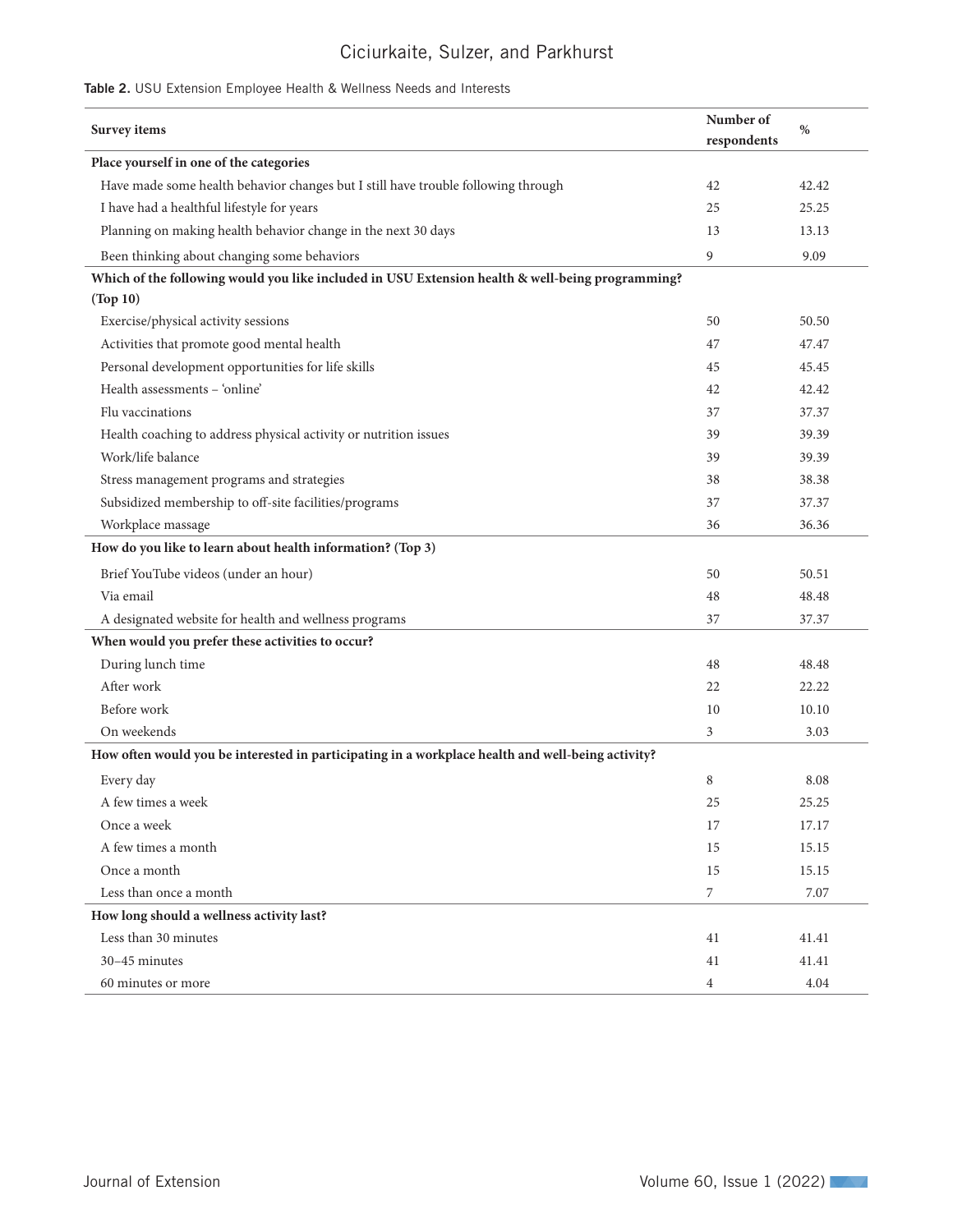# Ciciurkaite, Sulzer, and Parkhurst

# Table 2. USU Extension Employee Health & Wellness Needs and Interests

| Survey items                                                                                      | Number of        | $\%$  |
|---------------------------------------------------------------------------------------------------|------------------|-------|
|                                                                                                   | respondents      |       |
| Place yourself in one of the categories                                                           |                  |       |
| Have made some health behavior changes but I still have trouble following through                 | 42               | 42.42 |
| I have had a healthful lifestyle for years                                                        | 25               | 25.25 |
| Planning on making health behavior change in the next 30 days                                     | 13               | 13.13 |
| Been thinking about changing some behaviors                                                       | 9                | 9.09  |
| Which of the following would you like included in USU Extension health & well-being programming?  |                  |       |
| (Top 10)                                                                                          |                  |       |
| Exercise/physical activity sessions                                                               | 50               | 50.50 |
| Activities that promote good mental health                                                        | 47               | 47.47 |
| Personal development opportunities for life skills                                                | 45               | 45.45 |
| Health assessments - 'online'                                                                     | 42               | 42.42 |
| Flu vaccinations                                                                                  | 37               | 37.37 |
| Health coaching to address physical activity or nutrition issues                                  | 39               | 39.39 |
| Work/life balance                                                                                 | 39               | 39.39 |
| Stress management programs and strategies                                                         | 38               | 38.38 |
| Subsidized membership to off-site facilities/programs                                             | 37               | 37.37 |
| Workplace massage                                                                                 | 36               | 36.36 |
| How do you like to learn about health information? (Top 3)                                        |                  |       |
| Brief YouTube videos (under an hour)                                                              | 50               | 50.51 |
| Via email                                                                                         | 48               | 48.48 |
| A designated website for health and wellness programs                                             | 37               | 37.37 |
| When would you prefer these activities to occur?                                                  |                  |       |
| During lunch time                                                                                 | 48               | 48.48 |
| After work                                                                                        | 22               | 22.22 |
| Before work                                                                                       | 10               | 10.10 |
| On weekends                                                                                       | 3                | 3.03  |
| How often would you be interested in participating in a workplace health and well-being activity? |                  |       |
| Every day                                                                                         | 8                | 8.08  |
| A few times a week                                                                                | 25               | 25.25 |
| Once a week                                                                                       | 17               | 17.17 |
| A few times a month                                                                               | 15               | 15.15 |
| Once a month                                                                                      | 15               | 15.15 |
| Less than once a month                                                                            | $\boldsymbol{7}$ | 7.07  |
| How long should a wellness activity last?                                                         |                  |       |
| Less than 30 minutes                                                                              | 41               | 41.41 |
| 30-45 minutes                                                                                     | 41               | 41.41 |
| 60 minutes or more                                                                                | $\overline{4}$   | 4.04  |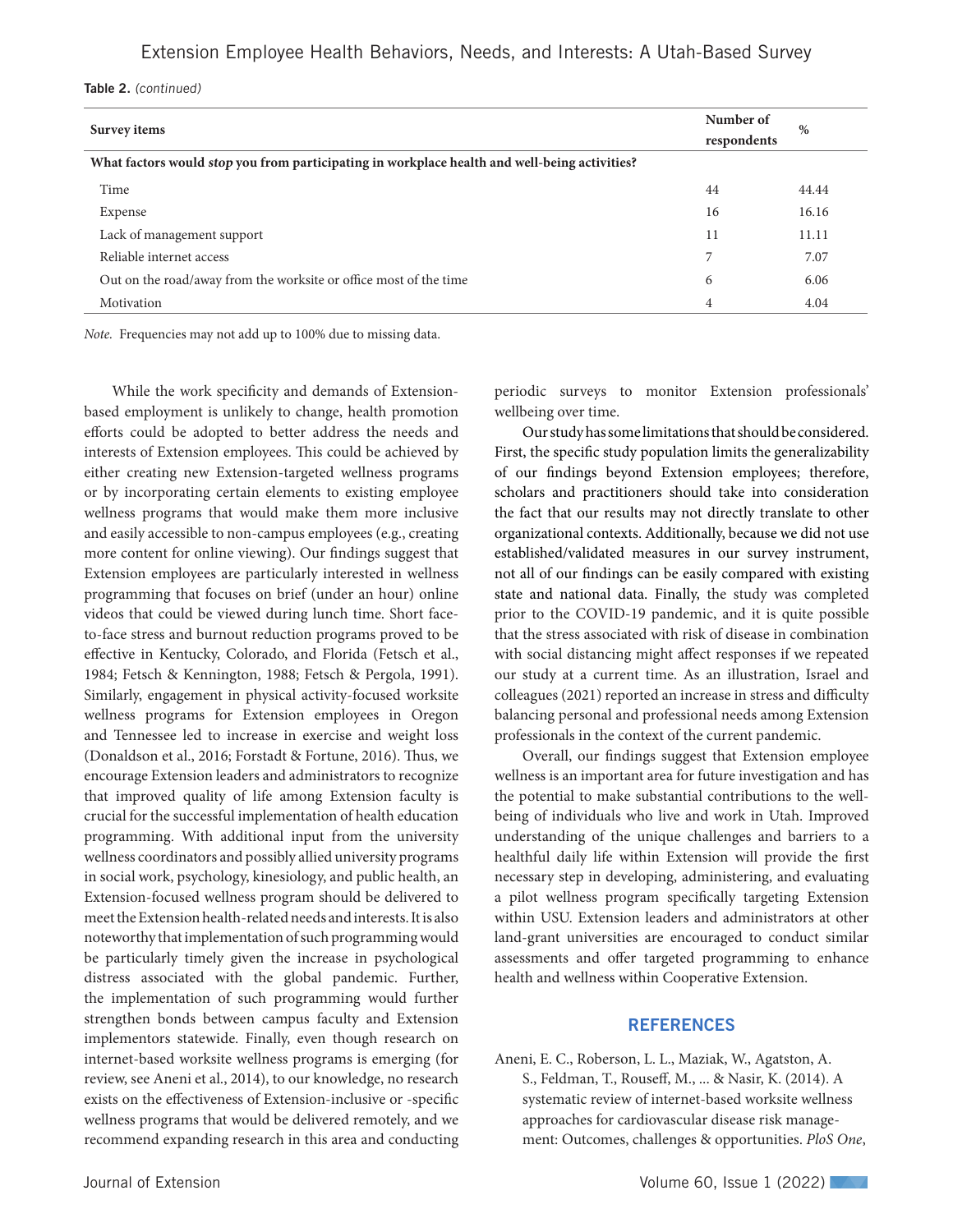Table 2. (continued)

| Survey items                                                                                  | Number of<br>respondents | %     |
|-----------------------------------------------------------------------------------------------|--------------------------|-------|
| What factors would stop you from participating in workplace health and well-being activities? |                          |       |
| Time                                                                                          | 44                       | 44.44 |
| Expense                                                                                       | 16                       | 16.16 |
| Lack of management support                                                                    | 11                       | 11.11 |
| Reliable internet access                                                                      | 7                        | 7.07  |
| Out on the road/away from the worksite or office most of the time                             | 6                        | 6.06  |
| Motivation                                                                                    | 4                        | 4.04  |

*Note.* Frequencies may not add up to 100% due to missing data.

While the work specificity and demands of Extensionbased employment is unlikely to change, health promotion efforts could be adopted to better address the needs and interests of Extension employees. This could be achieved by either creating new Extension-targeted wellness programs or by incorporating certain elements to existing employee wellness programs that would make them more inclusive and easily accessible to non-campus employees (e.g., creating more content for online viewing). Our findings suggest that Extension employees are particularly interested in wellness programming that focuses on brief (under an hour) online videos that could be viewed during lunch time. Short faceto-face stress and burnout reduction programs proved to be effective in Kentucky, Colorado, and Florida (Fetsch et al., 1984; Fetsch & Kennington, 1988; Fetsch & Pergola, 1991). Similarly, engagement in physical activity-focused worksite wellness programs for Extension employees in Oregon and Tennessee led to increase in exercise and weight loss (Donaldson et al., 2016; Forstadt & Fortune, 2016). Thus, we encourage Extension leaders and administrators to recognize that improved quality of life among Extension faculty is crucial for the successful implementation of health education programming. With additional input from the university wellness coordinators and possibly allied university programs in social work, psychology, kinesiology, and public health, an Extension-focused wellness program should be delivered to meet the Extension health-related needs and interests. It is also noteworthy that implementation of such programming would be particularly timely given the increase in psychological distress associated with the global pandemic. Further, the implementation of such programming would further strengthen bonds between campus faculty and Extension implementors statewide. Finally, even though research on internet-based worksite wellness programs is emerging (for review, see Aneni et al., 2014), to our knowledge, no research exists on the effectiveness of Extension-inclusive or -specific wellness programs that would be delivered remotely, and we recommend expanding research in this area and conducting periodic surveys to monitor Extension professionals' wellbeing over time.

Our study has some limitations that should be considered. First, the specific study population limits the generalizability of our findings beyond Extension employees; therefore, scholars and practitioners should take into consideration the fact that our results may not directly translate to other organizational contexts. Additionally, because we did not use established/validated measures in our survey instrument, not all of our findings can be easily compared with existing state and national data. Finally, the study was completed prior to the COVID-19 pandemic, and it is quite possible that the stress associated with risk of disease in combination with social distancing might affect responses if we repeated our study at a current time. As an illustration, Israel and colleagues (2021) reported an increase in stress and difficulty balancing personal and professional needs among Extension professionals in the context of the current pandemic.

Overall, our findings suggest that Extension employee wellness is an important area for future investigation and has the potential to make substantial contributions to the wellbeing of individuals who live and work in Utah. Improved understanding of the unique challenges and barriers to a healthful daily life within Extension will provide the first necessary step in developing, administering, and evaluating a pilot wellness program specifically targeting Extension within USU. Extension leaders and administrators at other land-grant universities are encouraged to conduct similar assessments and offer targeted programming to enhance health and wellness within Cooperative Extension.

#### **REFERENCES**

Aneni, E. C., Roberson, L. L., Maziak, W., Agatston, A. S., Feldman, T., Rouseff, M., ... & Nasir, K. (2014). A systematic review of internet-based worksite wellness approaches for cardiovascular disease risk management: Outcomes, challenges & opportunities. *PloS One*,